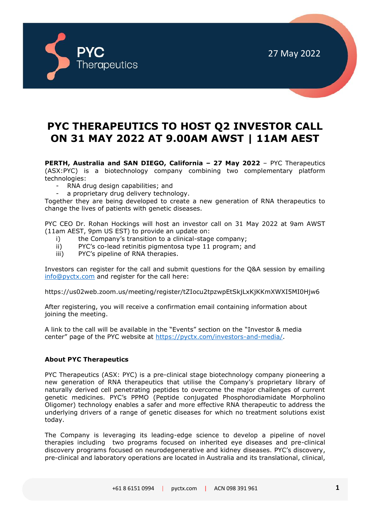

27 May 2022

## **PYC THERAPEUTICS TO HOST Q2 INVESTOR CALL ON 31 MAY 2022 AT 9.00AM AWST | 11AM AEST**

**PERTH, Australia and SAN DIEGO, California – 27 May 2022** – PYC Therapeutics (ASX:PYC) is a biotechnology company combining two complementary platform technologies:

- RNA drug design capabilities; and
- a proprietary drug delivery technology.

Together they are being developed to create a new generation of RNA therapeutics to change the lives of patients with genetic diseases.

PYC CEO Dr. Rohan Hockings will host an investor call on 31 May 2022 at 9am AWST (11am AEST, 9pm US EST) to provide an update on:

- i) the Company's transition to a clinical-stage company;
- ii) PYC's co-lead retinitis pigmentosa type 11 program; and
- iii) PYC's pipeline of RNA therapies.

Investors can register for the call and submit questions for the Q&A session by emailing [info@pyctx.com](mailto:info@pyctx.com) and register for the call here:

https://us02web.zoom.us/meeting/register/tZIocu2tpzwpEtSkjLxKjKKmXWXI5MI0Hjw6

After registering, you will receive a confirmation email containing information about joining the meeting.

A link to the call will be available in the "Events" section on the "Investor & media center" page of the PYC website at [https://pyctx.com/investors-and-media/.](https://pyctx.com/investors-and-media/)

## **About PYC Therapeutics**

PYC Therapeutics (ASX: PYC) is a pre-clinical stage biotechnology company pioneering a new generation of RNA therapeutics that utilise the Company's proprietary library of naturally derived cell penetrating peptides to overcome the major challenges of current genetic medicines. PYC's PPMO (Peptide conjugated Phosphorodiamidate Morpholino Oligomer) technology enables a safer and more effective RNA therapeutic to address the underlying drivers of a range of genetic diseases for which no treatment solutions exist today.

The Company is leveraging its leading-edge science to develop a pipeline of novel therapies including two programs focused on inherited eye diseases and pre-clinical discovery programs focused on neurodegenerative and kidney diseases. PYC's discovery, pre-clinical and laboratory operations are located in Australia and its translational, clinical,